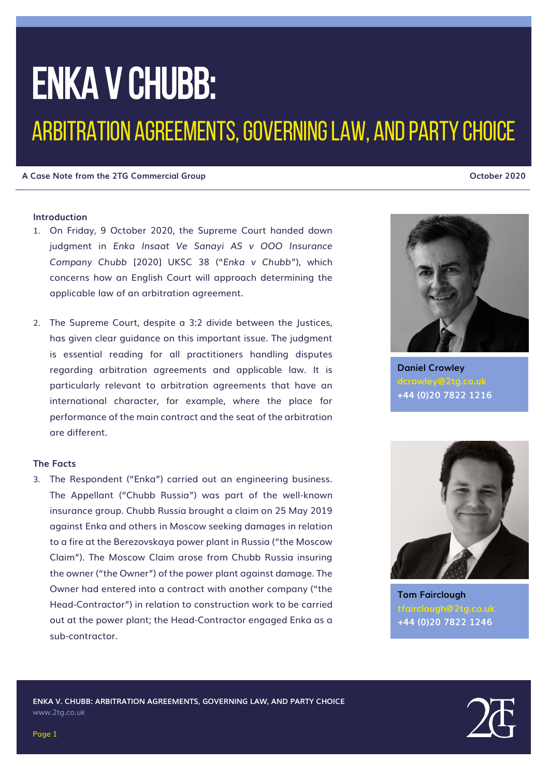# ENKA v CHUBB:

### ARBITRATION AGREEMENTS, GOVERNING LAW, AND PARTY CHOICE

#### **A Case Note from the 2TG Commercial Group October 2020**

### **Introduction**

- 1. On Friday, 9 October 2020, the Supreme Court handed down judgment in *Enka Insaat Ve Sanayi AS v OOO Insurance Company Chubb* [2020] UKSC 38 ("*Enka v Chubb*"), which concerns how an English Court will approach determining the applicable law of an arbitration agreement.
- 2. The Supreme Court, despite a 3:2 divide between the Justices, has given clear guidance on this important issue. The judgment is essential reading for all practitioners handling disputes regarding arbitration agreements and applicable law. It is particularly relevant to arbitration agreements that have an international character, for example, where the place for performance of the main contract and the seat of the arbitration are different.

#### **The Facts**

3. The Respondent ("Enka") carried out an engineering business. The Appellant ("Chubb Russia") was part of the well-known insurance group. Chubb Russia brought a claim on 25 May 2019 against Enka and others in Moscow seeking damages in relation to a fire at the Berezovskaya power plant in Russia ("the Moscow Claim"). The Moscow Claim arose from Chubb Russia insuring the owner ("the Owner") of the power plant against damage. The Owner had entered into a contract with another company ("the Head-Contractor") in relation to construction work to be carried out at the power plant; the Head-Contractor engaged Enka as a sub-contractor.



**Daniel Crowley dcrowley@2tg.co.uk +44 (0)20 7822 1216**



**Tom Fairclough tfairclough@2tg.co.uk +44 (0)20 7822 1246**



Page 1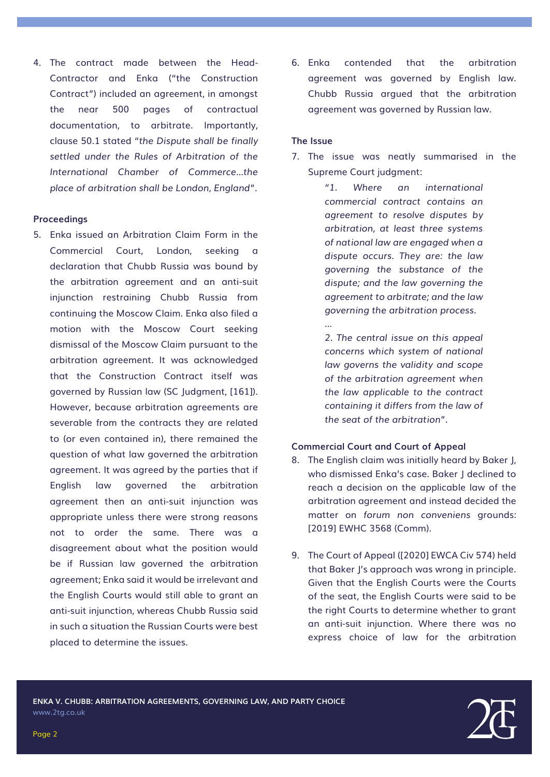4. The contract made between the Head-Contractor and Enka ("the Construction Contract") included an agreement, in amongst the near 500 pages of contractual documentation, to arbitrate. Importantly, clause 50.1 stated "*the Dispute shall be finally settled under the Rules of Arbitration of the International Chamber of Commerce…the place of arbitration shall be London, England*".

#### **Proceedings**

5. Enka issued an Arbitration Claim Form in the Commercial Court, London, seeking declaration that Chubb Russia was bound by the arbitration agreement and an anti-suit injunction restraining Chubb Russia from continuing the Moscow Claim. Enka also filed a motion with the Moscow Court seeking dismissal of the Moscow Claim pursuant to the arbitration agreement. It was acknowledged that the Construction Contract itself was governed by Russian law (SC Judgment, [161]). However, because arbitration agreements are severable from the contracts they are related to (or even contained in), there remained the question of what law governed the arbitration agreement. It was agreed by the parties that if English law governed the arbitration agreement then an anti-suit injunction was appropriate unless there were strong reasons not to order the same. There was a disagreement about what the position would be if Russian law governed the arbitration agreement; Enka said it would be irrelevant and the English Courts would still able to grant an anti-suit injunction, whereas Chubb Russia said in such a situation the Russian Courts were best placed to determine the issues.

6. Enka contended that the arbitration agreement was governed by English law. Chubb Russia argued that the arbitration agreement was governed by Russian law.

#### **The Issue**

*…*

7. The issue was neatly summarised in the Supreme Court judgment:

> *"1. Where an international commercial contract contains an agreement to resolve disputes by arbitration, at least three systems of national law are engaged when a dispute occurs. They are: the law governing the substance of the dispute; and the law governing the agreement to arbitrate; and the law governing the arbitration process.*

*2. The central issue on this appeal concerns which system of national law governs the validity and scope of the arbitration agreement when the law applicable to the contract containing it differs from the law of the seat of the arbitration*".

#### **Commercial Court and Court of Appeal**

- 8. The English claim was initially heard by Baker J, who dismissed Enka's case. Baker J declined to reach a decision on the applicable law of the arbitration agreement and instead decided the matter on *forum non conveniens* grounds: [2019] EWHC 3568 (Comm).
- 9. The Court of Appeal ([2020] EWCA Civ 574) held that Baker J's approach was wrong in principle. Given that the English Courts were the Courts of the seat, the English Courts were said to be the right Courts to determine whether to grant an anti-suit injunction. Where there was no express choice of law for the arbitration

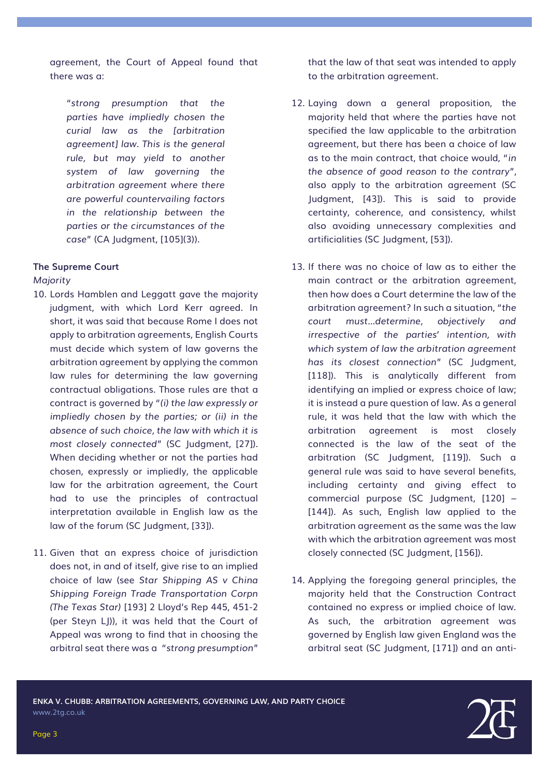agreement, the Court of Appeal found that there was a:

"*strong presumption that the parties have impliedly chosen the curial law as the [arbitration agreement] law. This is the general rule, but may yield to another system of law governing the arbitration agreement where there are powerful countervailing factors in the relationship between the parties or the circumstances of the case*" (CA Judgment, [105](3)).

#### **The Supreme Court**

#### *Majority*

- 10. Lords Hamblen and Leggatt gave the majority judgment, with which Lord Kerr agreed. In short, it was said that because Rome I does not apply to arbitration agreements, English Courts must decide which system of law governs the arbitration agreement by applying the common law rules for determining the law governing contractual obligations. Those rules are that a contract is governed by "*(i) the law expressly or impliedly chosen by the parties; or (ii) in the absence of such choice, the law with which it is most closely connected*" (SC Judgment, [27]). When deciding whether or not the parties had chosen, expressly or impliedly, the applicable law for the arbitration agreement, the Court had to use the principles of contractual interpretation available in English law as the law of the forum (SC Judgment, [33]).
- 11. Given that an express choice of jurisdiction does not, in and of itself, give rise to an implied choice of law (see *Star Shipping AS v China Shipping Foreign Trade Transportation Corpn (The Texas Star)* [193] 2 Lloyd's Rep 445, 451-2 (per Steyn LJ)), it was held that the Court of Appeal was wrong to find that in choosing the arbitral seat there was a "*strong presumption*"

that the law of that seat was intended to apply to the arbitration agreement.

- 12. Laying down a general proposition, the majority held that where the parties have not specified the law applicable to the arbitration agreement, but there has been a choice of law as to the main contract, that choice would, "*in the absence of good reason to the contrary*", also apply to the arbitration agreement (SC Judgment, [43]). This is said to provide certainty, coherence, and consistency, whilst also avoiding unnecessary complexities and artificialities (SC Judgment, [53]).
- 13. If there was no choice of law as to either the main contract or the arbitration agreement, then how does a Court determine the law of the arbitration agreement? In such a situation, "*the court must…determine, objectively and irrespective of the parties' intention, with which system of law the arbitration agreement has its closest connection*" (SC Judgment, [118]). This is analytically different from identifying an implied or express choice of law; it is instead a pure question of law. As a general rule, it was held that the law with which the arbitration agreement is most closely connected is the law of the seat of the arbitration (SC Judgment, [119]). Such a general rule was said to have several benefits, including certainty and giving effect to commercial purpose (SC Judgment, [120] – [144]). As such, English law applied to the arbitration agreement as the same was the law with which the arbitration agreement was most closely connected (SC Judgment, [156]).
- 14. Applying the foregoing general principles, the majority held that the Construction Contract contained no express or implied choice of law. As such, the arbitration agreement was governed by English law given England was the arbitral seat (SC Judgment, [171]) and an anti-

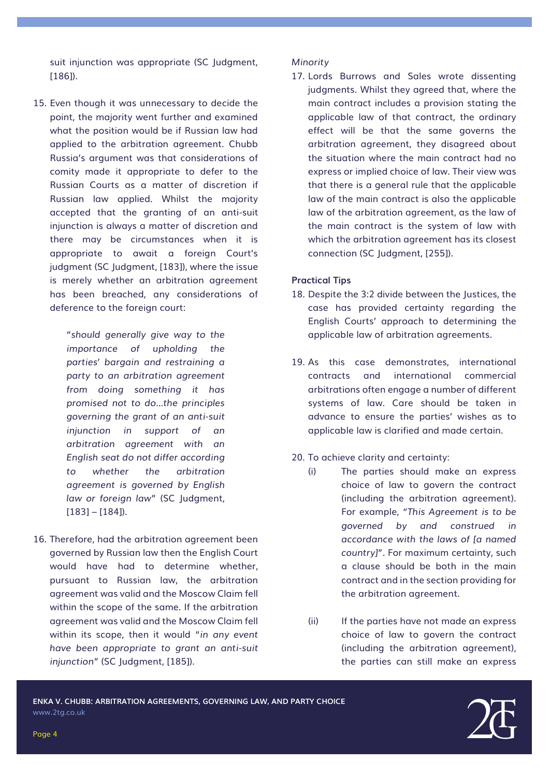suit injunction was appropriate (SC Judgment, [186]).

15. Even though it was unnecessary to decide the point, the majority went further and examined what the position would be if Russian law had applied to the arbitration agreement. Chubb Russia's argument was that considerations of comity made it appropriate to defer to the Russian Courts as a matter of discretion if Russian law applied. Whilst the majority accepted that the granting of an anti-suit injunction is always a matter of discretion and there may be circumstances when it is appropriate to await a foreign Court's judgment (SC Judgment, [183]), where the issue is merely whether an arbitration agreement has been breached, any considerations of deference to the foreign court:

> "*should generally give way to the importance of upholding the parties' bargain and restraining a party to an arbitration agreement from doing something it has promised not to do…the principles governing the grant of an anti-suit injunction in support of an arbitration agreement with an English seat do not differ according to whether the arbitration agreement is governed by English law or foreign law*" (SC Judgment, [183] – [184]).

16. Therefore, had the arbitration agreement been governed by Russian law then the English Court would have had to determine whether, pursuant to Russian law, the arbitration agreement was valid and the Moscow Claim fell within the scope of the same. If the arbitration agreement was valid and the Moscow Claim fell within its scope, then it would "*in any event have been appropriate to grant an anti-suit injunction*" (SC Judgment, [185]).

#### *Minority*

17. Lords Burrows and Sales wrote dissenting judgments. Whilst they agreed that, where the main contract includes a provision stating the applicable law of that contract, the ordinary effect will be that the same governs the arbitration agreement, they disagreed about the situation where the main contract had no express or implied choice of law. Their view was that there is a general rule that the applicable law of the main contract is also the applicable law of the arbitration agreement, as the law of the main contract is the system of law with which the arbitration agreement has its closest connection (SC Judgment, [255]).

#### **Practical Tips**

- 18. Despite the 3:2 divide between the Justices, the case has provided certainty regarding the English Courts' approach to determining the applicable law of arbitration agreements.
- 19. As this case demonstrates, international contracts and international commercial arbitrations often engage a number of different systems of law. Care should be taken in advance to ensure the parties' wishes as to applicable law is clarified and made certain.
- 20. To achieve clarity and certainty:
	- (i) The parties should make an express choice of law to govern the contract (including the arbitration agreement). For example, *"This Agreement is to be governed by and construed in accordance with the laws of [a named country]"*. For maximum certainty, such a clause should be both in the main contract and in the section providing for the arbitration agreement.
	- (ii) If the parties have not made an express choice of law to govern the contract (including the arbitration agreement), the parties can still make an express

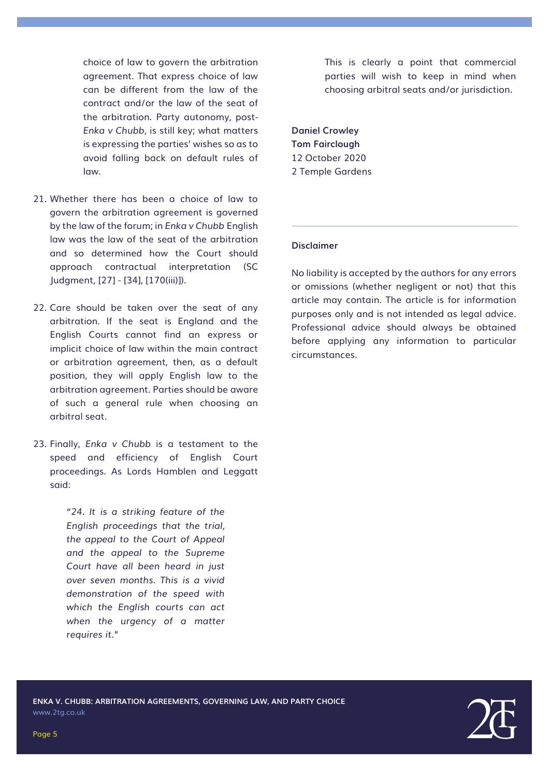choice of law to govern the arbitration agreement. That express choice of law can be different from the law of the contract and/or the law of the seat of the arbitration. Party autonomy, post-*Enka v Chubb*, is still key; what matters is expressing the parties' wishes so as to avoid falling back on default rules of law.

- 21. Whether there has been a choice of law to govern the arbitration agreement is governed by the law of the forum; in *Enka v Chubb* English law was the law of the seat of the arbitration and so determined how the Court should approach contractual interpretation (SC Judgment, [27] - [34], [170(iii)]).
- 22. Care should be taken over the seat of any arbitration. If the seat is England and the English Courts cannot find an express or implicit choice of law within the main contract or arbitration agreement, then, as a default position, they will apply English law to the arbitration agreement. Parties should be aware of such a general rule when choosing an arbitral seat.
- 23. Finally, *Enka v Chubb* is a testament to the speed and efficiency of English Court proceedings. As Lords Hamblen and Leggatt said:

*"24. It is a striking feature of the English proceedings that the trial, the appeal to the Court of Appeal and the appeal to the Supreme Court have all been heard in just over seven months. This is a vivid demonstration of the speed with which the English courts can act when the urgency of a matter requires it.*"

This is clearly a point that commercial parties will wish to keep in mind when choosing arbitral seats and/or jurisdiction.

**[Daniel Crowley](https://www.2tg.co.uk/people/daniel-crowley-c-arb/) [Tom Fairclough](https://www.2tg.co.uk/people/tom-fairclough/)** 12 October 2020 2 Temple Gardens

#### **Disclaimer**

No liability is accepted by the authors for any errors or omissions (whether negligent or not) that this article may contain. The article is for information purposes only and is not intended as legal advice. Professional advice should always be obtained before applying any information to particular circumstances.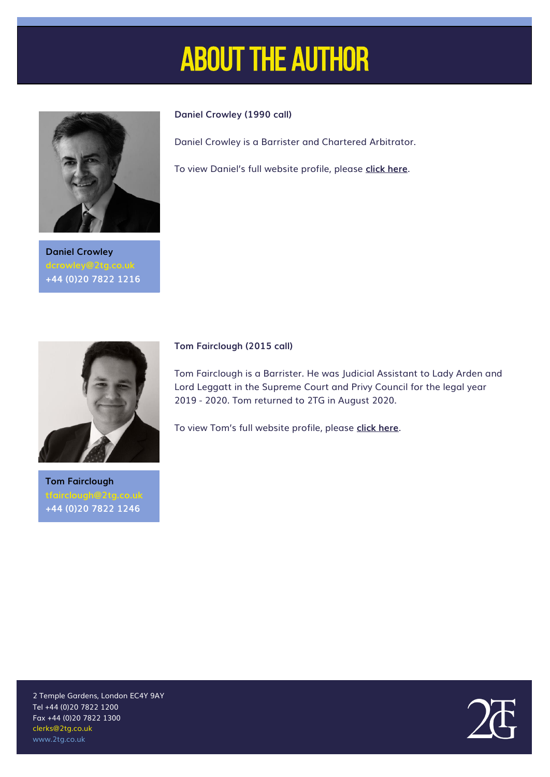## About the author



**Daniel Crowley dcrowley@2tg.co.uk +44 (0)20 7822 1216**



Daniel Crowley is a Barrister and Chartered Arbitrator.

To view Daniel's full website profile, please **[click here](https://www.2tg.co.uk/people/daniel-crowley-c-arb/)**.



**Tom Fairclough +44 (0)20 7822 1246**

#### **Tom Fairclough (2015 call)**

Tom Fairclough is a Barrister. He was Judicial Assistant to Lady Arden and Lord Leggatt in the Supreme Court and Privy Council for the legal year 2019 - 2020. Tom returned to 2TG in August 2020.

To view Tom's full website profile, please **[click here](https://www.2tg.co.uk/people/tom-fairclough/)**.

2 Temple Gardens, London EC4Y 9AY Tel +44 (0)20 7822 1200 Fax +44 (0)20 7822 1300 clerks@2tg.co.uk www.2tg.co.uk